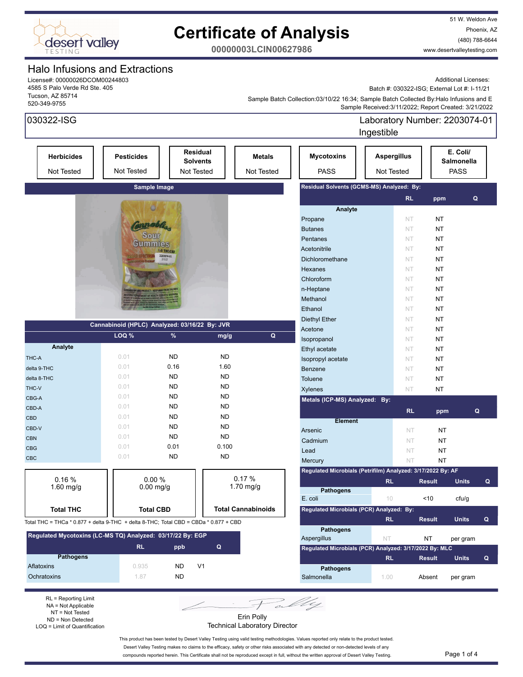

51 W. Weldon Ave Phoenix, AZ (480) 788-6644 www.desertvalleytesting.com

**00000003LCIN00627986**

### Halo Infusions and Extractions

License#: 00000026DCOM00244803 4585 S Palo Verde Rd Ste. 405 Tucson, AZ 85714 520-349-9755

Additional Licenses:

Batch #: 030322-ISG; External Lot #: I-11/21

 Sample Received:3/11/2022; Report Created: 3/21/2022 Sample Batch Collection:03/10/22 16:34; Sample Batch Collected By:Halo Infusions and E

| 030322-ISG                                                                           |                                               |                                                  |                |                             |                                                             | Ingestible                       | Laboratory Number: 2203074-01 |                                       |              |              |
|--------------------------------------------------------------------------------------|-----------------------------------------------|--------------------------------------------------|----------------|-----------------------------|-------------------------------------------------------------|----------------------------------|-------------------------------|---------------------------------------|--------------|--------------|
| <b>Herbicides</b><br>Not Tested                                                      | <b>Pesticides</b><br><b>Not Tested</b>        | <b>Residual</b><br><b>Solvents</b><br>Not Tested |                | <b>Metals</b><br>Not Tested | <b>Mycotoxins</b><br><b>PASS</b>                            | <b>Aspergillus</b><br>Not Tested |                               | E. Coli/<br>Salmonella<br><b>PASS</b> |              |              |
|                                                                                      | Sample Image                                  |                                                  |                |                             | Residual Solvents (GCMS-MS) Analyzed: By:                   |                                  |                               |                                       |              |              |
|                                                                                      |                                               |                                                  |                |                             |                                                             |                                  | RL.                           | ppm                                   | Q            |              |
|                                                                                      |                                               |                                                  |                |                             | Analyte                                                     |                                  |                               |                                       |              |              |
|                                                                                      |                                               |                                                  |                |                             | Propane                                                     |                                  | NT.                           | <b>NT</b>                             |              |              |
|                                                                                      |                                               |                                                  |                |                             | <b>Butanes</b>                                              |                                  | <b>NT</b>                     | <b>NT</b>                             |              |              |
|                                                                                      | $S0$ ur<br><b>Gummies</b>                     |                                                  |                |                             | Pentanes                                                    |                                  | NT                            | <b>NT</b>                             |              |              |
|                                                                                      |                                               | 1:0 THC:CBD                                      |                |                             | Acetonitrile                                                |                                  | NT                            | <b>NT</b>                             |              |              |
|                                                                                      |                                               | 2203074-01<br>3/11/22                            |                |                             | Dichloromethane                                             |                                  | NT                            | <b>NT</b>                             |              |              |
|                                                                                      |                                               |                                                  |                |                             | Hexanes                                                     |                                  | NT                            | <b>NT</b>                             |              |              |
|                                                                                      |                                               |                                                  |                |                             | Chloroform                                                  |                                  | NT.                           | <b>NT</b>                             |              |              |
|                                                                                      | DUCT - KEEP AWAY FROM                         |                                                  |                |                             | n-Heptane                                                   |                                  | NT.                           | NT                                    |              |              |
|                                                                                      | <b>IMENT OF HEALTH SERVICE!</b>               |                                                  |                |                             | Methanol                                                    |                                  | NT.                           | <b>NT</b>                             |              |              |
|                                                                                      |                                               |                                                  |                |                             | Ethanol                                                     |                                  | NT.                           | <b>NT</b>                             |              |              |
|                                                                                      |                                               |                                                  |                |                             | <b>Diethyl Ether</b>                                        |                                  | NT.                           | <b>NT</b>                             |              |              |
|                                                                                      | Cannabinoid (HPLC) Analyzed: 03/16/22 By: JVR |                                                  |                |                             | Acetone                                                     |                                  | NT.                           | NT                                    |              |              |
|                                                                                      | LOQ %                                         | %                                                | mg/g           | Q                           | Isopropanol                                                 |                                  | NT.                           | NT                                    |              |              |
| Analyte                                                                              |                                               |                                                  |                |                             | Ethyl acetate                                               |                                  | NT.                           | NT                                    |              |              |
| THC-A                                                                                | 0.01                                          | <b>ND</b>                                        | <b>ND</b>      |                             | Isopropyl acetate                                           |                                  | NT                            | <b>NT</b>                             |              |              |
| delta 9-THC                                                                          | 0.01                                          | 0.16                                             | 1.60           |                             | Benzene                                                     |                                  | NT                            | <b>NT</b>                             |              |              |
| delta 8-THC                                                                          | 0.01                                          | <b>ND</b>                                        | <b>ND</b>      |                             | Toluene                                                     |                                  | NT                            | <b>NT</b>                             |              |              |
| THC-V                                                                                | 0.01                                          | <b>ND</b>                                        | <b>ND</b>      |                             | <b>Xylenes</b>                                              |                                  | NT                            | <b>NT</b>                             |              |              |
| CBG-A                                                                                | 0.01                                          | <b>ND</b>                                        | <b>ND</b>      |                             | Metals (ICP-MS) Analyzed: By:                               |                                  |                               |                                       |              |              |
| CBD-A                                                                                | 0.01                                          | <b>ND</b>                                        | <b>ND</b>      |                             |                                                             |                                  | <b>RL</b>                     | ppm                                   |              | Q            |
| <b>CBD</b>                                                                           | 0.01                                          | <b>ND</b>                                        | <b>ND</b>      |                             | <b>Element</b>                                              |                                  |                               |                                       |              |              |
| CBD-V                                                                                | 0.01                                          | <b>ND</b>                                        | <b>ND</b>      |                             | Arsenic                                                     |                                  | <b>NT</b>                     | NT                                    |              |              |
| <b>CBN</b>                                                                           | 0.01                                          | <b>ND</b>                                        | <b>ND</b>      |                             | Cadmium                                                     |                                  | NT                            | NT                                    |              |              |
| <b>CBG</b>                                                                           | 0.01                                          | 0.01                                             | 0.100          |                             | Lead                                                        |                                  | NT                            | NT                                    |              |              |
| <b>CBC</b>                                                                           | 0.01                                          | <b>ND</b>                                        | <b>ND</b>      |                             | Mercury                                                     |                                  | NT                            | <b>NT</b>                             |              |              |
|                                                                                      |                                               |                                                  |                |                             | Regulated Microbials (Petrifilm) Analyzed: 3/17/2022 By: AF |                                  |                               |                                       |              |              |
| 0.16%                                                                                | 0.00%                                         |                                                  |                | 0.17%                       |                                                             | <b>RL</b>                        |                               | <b>Result</b>                         | <b>Units</b> | $\mathbf{Q}$ |
| 1.60 mg/g                                                                            | $0.00$ mg/g                                   |                                                  |                | 1.70 mg/g                   | <b>Pathogens</b>                                            |                                  |                               |                                       |              |              |
|                                                                                      |                                               |                                                  |                |                             | E. coli                                                     | 10                               |                               | $<10$                                 | cfu/g        |              |
| <b>Total THC</b>                                                                     | <b>Total CBD</b>                              |                                                  |                | <b>Total Cannabinoids</b>   | Regulated Microbials (PCR) Analyzed: By:                    |                                  |                               |                                       |              |              |
| Total THC = THCa * 0.877 + delta 9-THC + delta 8-THC; Total CBD = CBDa * 0.877 + CBD |                                               |                                                  |                |                             |                                                             | RL.                              |                               | <b>Result</b>                         | <b>Units</b> | Q            |
|                                                                                      |                                               |                                                  |                |                             | <b>Pathogens</b>                                            |                                  |                               |                                       |              |              |
| Regulated Mycotoxins (LC-MS TQ) Analyzed: 03/17/22 By: EGP                           |                                               |                                                  |                |                             | Aspergillus                                                 | NT.                              |                               | NT                                    | per gram     |              |
|                                                                                      | <b>RL</b>                                     | ppb                                              | Q              |                             | Regulated Microbials (PCR) Analyzed: 3/17/2022 By: MLC      |                                  |                               |                                       |              |              |
| <b>Pathogens</b>                                                                     |                                               |                                                  |                |                             |                                                             | <b>RL</b>                        |                               | <b>Result</b>                         | <b>Units</b> | $\mathbf{Q}$ |
| Aflatoxins                                                                           | 0.935                                         | ND                                               | V <sub>1</sub> |                             | <b>Pathogens</b>                                            |                                  |                               |                                       |              |              |
| Ochratoxins                                                                          | 1.87                                          | ND.                                              |                |                             | Salmonella                                                  | 1.00                             |                               | Absent                                | per gram     |              |
|                                                                                      |                                               |                                                  |                |                             |                                                             |                                  |                               |                                       |              |              |

RL = Reporting Limit NA = Not Applicable NT = Not Tested ND = Non Detected LOQ = Limit of Quantification

Erin Polly Technical Laboratory Director

This product has been tested by Desert Valley Testing using valid testing methodologies. Values reported only relate to the product tested. Desert Valley Testing makes no claims to the efficacy, safety or other risks associated with any detected or non-detected levels of any

compounds reported herein. This Certificate shall not be reproduced except in full, without the written approval of Desert Valley Testing. Page 1 of 4

My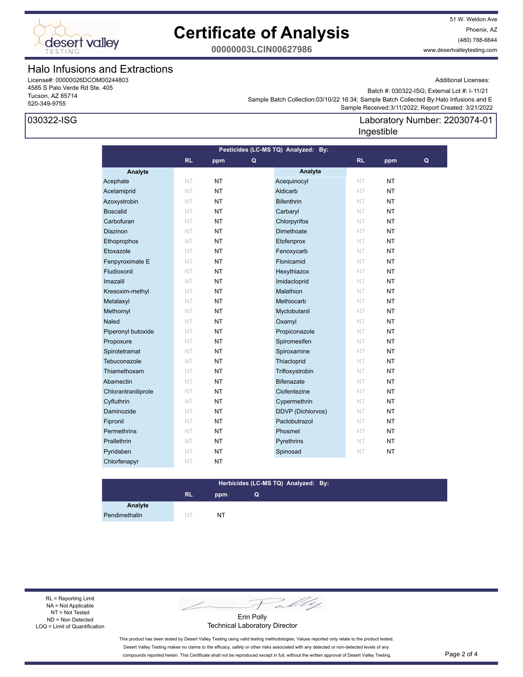

51 W. Weldon Ave Phoenix, AZ (480) 788-6644 www.desertvalleytesting.com

Additional Licenses:

**00000003LCIN00627986**

### Halo Infusions and Extractions

License#: 00000026DCOM00244803 4585 S Palo Verde Rd Ste. 405 Tucson, AZ 85714 520-349-9755

### 030322-ISG

Batch #: 030322-ISG; External Lot #: I-11/21

Laboratory Number: 2203074-01

 Sample Received:3/11/2022; Report Created: 3/21/2022 Sample Batch Collection:03/10/22 16:34; Sample Batch Collected By:Halo Infusions and E

### **Analyte Analyte RL ppm RL ppm Pesticides (LC-MS TQ) Analyzed: By: Q Q** Acephate NT NT NT Acequinocyl NT NT Acetamiprid NT NT NT Aldicarb NT NT NT Azoxystrobin NT NT NT Bifenthrin NT NT NT Boscalid NT NT NT Carbaryl NT NT NT Carbofuran NT NT NT Chlorpyrifos NT NT **Diazinon NT NT NT Dimethoate** NT NT Ethoprophos NT NT NT Etofenprox NT NT Etoxazole NT NT NT Fenoxycarb NT NT **Fenpyroximate E NT NT NT Flonicamid NT NT NT Fludioxonil NT NT NT Hexythiazox NT NT NT** Imazalil NT NT NT Imidacloprid NT NT Kresoxim-methyl NT NT NT Malathion NT NT NT **Metalaxyl NT NT NT Methiocarb** NT **NT Methomyl NT NT NT Myclobutanil NT NT NT Naled NT NT NT Oxamyl NT NT NT** Piperonyl butoxide NT NT **NT** Propiconazole NT NT Propoxure NT NT NT Spiromesifen NT NT Spirotetramat NT NT NT Spiroxamine NT NT Tebuconazole **NT NT Thiacloprid NT NT NT** Thiamethoxam NT NT NT Trifloxystrobin NT NT Abamectin NT NT **NT** Bifenazate NT NT Chlorantraniliprole NT NT NT Clofentezine NT NT Cyfluthrin NT NT NT Cypermethrin NT NT Daminozide NT NT NT DDVP (Dichlorvos) NT NT **Fipronil NT NT NT Paclobutrazol NT NT Permethrins NT NT NT Phosmet NT NT NT Prallethrin NT NT NT Pyrethrins NT NT NT** Pyridaben NT NT NT Spinosad NT NT Chlorfenapyr NT NT Ingestible

### **RL ppm Herbicides (LC-MS TQ) Analyzed: By: Q**

**Analyte** Pendimethalin NT NT NT

RL = Reporting Limit NA = Not Applicable NT = Not Tested ND = Non Detected LOQ = Limit of Quantification

Fally

Erin Polly Technical Laboratory Director

This product has been tested by Desert Valley Testing using valid testing methodologies. Values reported only relate to the product tested. Desert Valley Testing makes no claims to the efficacy, safety or other risks associated with any detected or non-detected levels of any compounds reported herein. This Certificate shall not be reproduced except in full, without the written approval of Desert Valley Testing. Page 2 of 4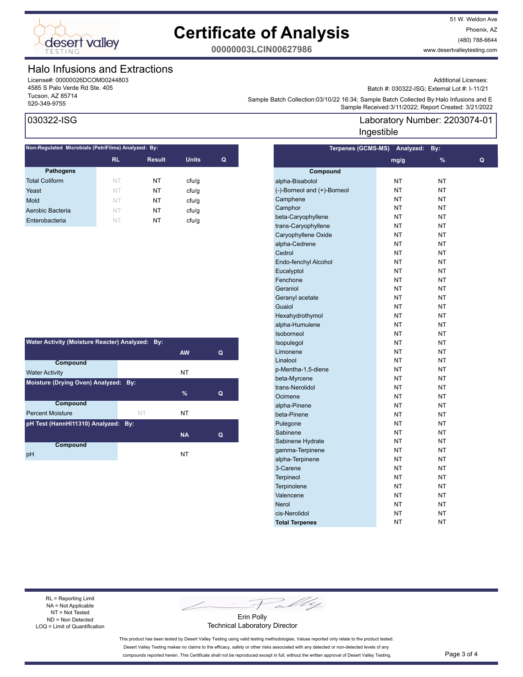

51 W. Weldon Ave Phoenix, AZ (480) 788-6644 www.desertvalleytesting.com

**00000003LCIN00627986**

### Halo Infusions and Extractions

License#: 00000026DCOM00244803 4585 S Palo Verde Rd Ste. 405 Tucson, AZ 85714

Additional Licenses:

Batch #: 030322-ISG; External Lot #: I-11/21

Laboratory Number: 2203074-01

Sample Batch Collection.co/ 10/22 10.34; Sample Batch Collection Systems and Collection Systems and E<br>Sample Received:3/11/2022; Report Created: 3/21/2022 Sample Batch Collection:03/10/22 16:34; Sample Batch Collected By:Halo Infusions and E

**Terpenes (GCMS-MS) Analyzed: By:** 

Ingestible

## 030322-ISG

| Non-Regulated Microbials (PetriFilms) Analyzed: By: |           |               |              |   |  |
|-----------------------------------------------------|-----------|---------------|--------------|---|--|
|                                                     | <b>RL</b> | <b>Result</b> | <b>Units</b> | Q |  |
| <b>Pathogens</b>                                    |           |               |              |   |  |
| <b>Total Coliform</b>                               | NT        | NT            | ctu/g        |   |  |
| Yeast                                               | NT        | NΤ            | cfu/q        |   |  |
| Mold                                                | NT        | NT            | ctu/g        |   |  |
| Aerobic Bacteria                                    | NT        | NΤ            | ctu/g        |   |  |
| Enterobacteria                                      | NT        | NT            | cfu/q        |   |  |
|                                                     |           |               |              |   |  |

| Water Activity (Moisture Reacter) Analyzed: By: |           |           |   |  |  |  |
|-------------------------------------------------|-----------|-----------|---|--|--|--|
|                                                 |           | <b>AW</b> | Q |  |  |  |
| Compound                                        |           |           |   |  |  |  |
| <b>Water Activity</b>                           |           | NT        |   |  |  |  |
| Moisture (Drying Oven) Analyzed: By:            |           |           |   |  |  |  |
|                                                 |           | $\%$      | Q |  |  |  |
| Compound                                        |           |           |   |  |  |  |
| <b>Percent Moisture</b>                         | <b>NT</b> | NT        |   |  |  |  |
| pH Test (HannHI11310) Analyzed: By:             |           |           |   |  |  |  |
|                                                 |           | <b>NA</b> | Q |  |  |  |
| Compound                                        |           |           |   |  |  |  |
| pH                                              |           | NT        |   |  |  |  |

| $\cdots$                    |           |               |   |  |  |
|-----------------------------|-----------|---------------|---|--|--|
|                             | mg/g      | $\frac{9}{6}$ | Q |  |  |
| Compound                    |           |               |   |  |  |
| alpha-Bisabolol             | <b>NT</b> | NT            |   |  |  |
| (-)-Borneol and (+)-Borneol | <b>NT</b> | <b>NT</b>     |   |  |  |
| Camphene                    | NT        | NΤ            |   |  |  |
| Camphor                     | <b>NT</b> | NT            |   |  |  |
| beta-Caryophyllene          | <b>NT</b> | NT            |   |  |  |
| trans-Caryophyllene         | NT        | NT            |   |  |  |
| Caryophyllene Oxide         | <b>NT</b> | NT            |   |  |  |
| alpha-Cedrene               | <b>NT</b> | NT            |   |  |  |
| Cedrol                      | ΝT        | NΤ            |   |  |  |
| Endo-fenchyl Alcohol        | <b>NT</b> | NT            |   |  |  |
| Eucalyptol                  | NT        | NT            |   |  |  |
| Fenchone                    | ΝT        | NΤ            |   |  |  |
| Geraniol                    | <b>NT</b> | NT            |   |  |  |
| Geranyl acetate             | <b>NT</b> | NT            |   |  |  |
| Guaiol                      | NT        | NΤ            |   |  |  |
| Hexahydrothymol             | <b>NT</b> | NT            |   |  |  |
| alpha-Humulene              | <b>NT</b> | NT            |   |  |  |
| <b>Isoborneol</b>           | <b>NT</b> | NΤ            |   |  |  |
| Isopulegol                  | NT        | NT            |   |  |  |
| Limonene                    | <b>NT</b> | NT            |   |  |  |
| Linalool                    | NT        | NT            |   |  |  |
| p-Mentha-1,5-diene          | NT        | NΤ            |   |  |  |
| beta-Myrcene                | <b>NT</b> | NT            |   |  |  |
| trans-Nerolidol             | NT        | NΤ            |   |  |  |
| Ocimene                     | NT        | NΤ            |   |  |  |
| alpha-Pinene                | <b>NT</b> | NT            |   |  |  |
| beta-Pinene                 | <b>NT</b> | NΤ            |   |  |  |
| Pulegone                    | NT        | NT            |   |  |  |
| Sabinene                    | <b>NT</b> | NT            |   |  |  |
| Sabinene Hydrate            | NT        | NΤ            |   |  |  |
| gamma-Terpinene             | NT        | NΤ            |   |  |  |
| alpha-Terpinene             | <b>NT</b> | NT            |   |  |  |
| 3-Carene                    | NT        | NΤ            |   |  |  |
| <b>Terpineol</b>            | NT        | NT            |   |  |  |
| Terpinolene                 | <b>NT</b> | NT            |   |  |  |
| Valencene                   | ΝT        | ΝT            |   |  |  |
| <b>Nerol</b>                | NT        | NΤ            |   |  |  |
| cis-Nerolidol               | NT        | NΤ            |   |  |  |
| <b>Total Terpenes</b>       | NT        | NT            |   |  |  |
|                             |           |               |   |  |  |

RL = Reporting Limit NA = Not Applicable NT = Not Tested ND = Non Detected LOQ = Limit of Quantification

Pally

Erin Polly Technical Laboratory Director

This product has been tested by Desert Valley Testing using valid testing methodologies. Values reported only relate to the product tested. Desert Valley Testing makes no claims to the efficacy, safety or other risks associated with any detected or non-detected levels of any compounds reported herein. This Certificate shall not be reproduced except in full, without the written approval of Desert Valley Testing. Page 3 of 4